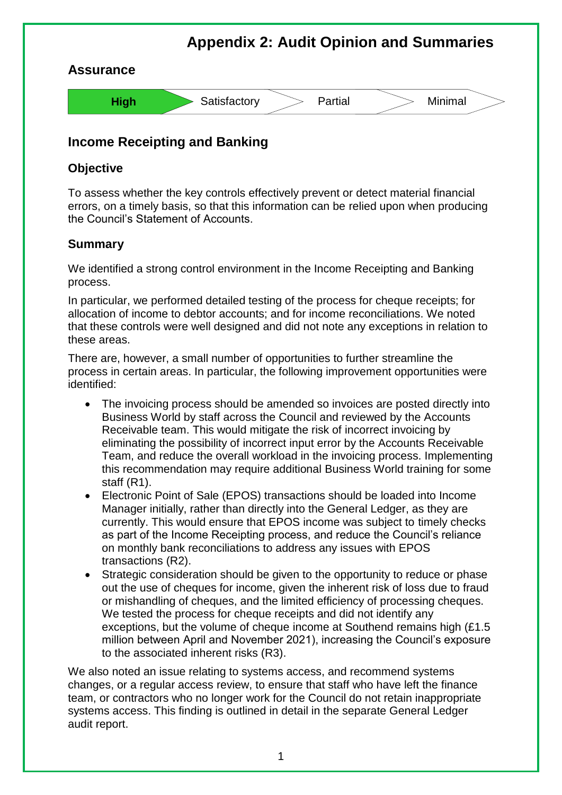

## **Income Receipting and Banking**

## **Objective**

To assess whether the key controls effectively prevent or detect material financial errors, on a timely basis, so that this information can be relied upon when producing the Council's Statement of Accounts.

## **Summary**

We identified a strong control environment in the Income Receipting and Banking process.

In particular, we performed detailed testing of the process for cheque receipts; for allocation of income to debtor accounts; and for income reconciliations. We noted that these controls were well designed and did not note any exceptions in relation to these areas.

There are, however, a small number of opportunities to further streamline the process in certain areas. In particular, the following improvement opportunities were identified:

- The invoicing process should be amended so invoices are posted directly into Business World by staff across the Council and reviewed by the Accounts Receivable team. This would mitigate the risk of incorrect invoicing by eliminating the possibility of incorrect input error by the Accounts Receivable Team, and reduce the overall workload in the invoicing process. Implementing this recommendation may require additional Business World training for some staff (R1).
- Electronic Point of Sale (EPOS) transactions should be loaded into Income Manager initially, rather than directly into the General Ledger, as they are currently. This would ensure that EPOS income was subject to timely checks as part of the Income Receipting process, and reduce the Council's reliance on monthly bank reconciliations to address any issues with EPOS transactions (R2).
- Strategic consideration should be given to the opportunity to reduce or phase out the use of cheques for income, given the inherent risk of loss due to fraud or mishandling of cheques, and the limited efficiency of processing cheques. We tested the process for cheque receipts and did not identify any exceptions, but the volume of cheque income at Southend remains high (£1.5 million between April and November 2021), increasing the Council's exposure to the associated inherent risks (R3).

We also noted an issue relating to systems access, and recommend systems changes, or a regular access review, to ensure that staff who have left the finance team, or contractors who no longer work for the Council do not retain inappropriate systems access. This finding is outlined in detail in the separate General Ledger audit report.